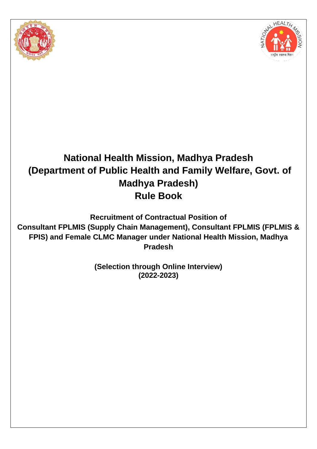



# **National Health Mission, Madhya Pradesh (Department of Public Health and Family Welfare, Govt. of Madhya Pradesh) Rule Book**

**Recruitment of Contractual Position of Consultant FPLMIS (Supply Chain Management), Consultant FPLMIS (FPLMIS & FPIS) and Female CLMC Manager under National Health Mission, Madhya Pradesh**

> **(Selection through Online Interview) (2022-2023)**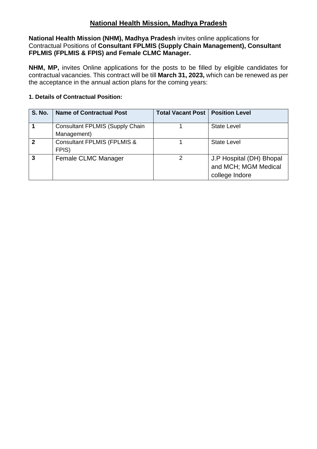# **National Health Mission, Madhya Pradesh**

**National Health Mission (NHM), Madhya Pradesh** invites online applications for Contractual Positions of **Consultant FPLMIS (Supply Chain Management), Consultant FPLMIS (FPLMIS & FPIS) and Female CLMC Manager.**

**NHM, MP,** invites Online applications for the posts to be filled by eligible candidates for contractual vacancies. This contract will be till **March 31, 2023,** which can be renewed as per the acceptance in the annual action plans for the coming years:

#### **1. Details of Contractual Position:**

| <b>S. No.</b> | <b>Name of Contractual Post</b>                       | <b>Total Vacant Post   Position Level</b> |                                                                    |
|---------------|-------------------------------------------------------|-------------------------------------------|--------------------------------------------------------------------|
|               | <b>Consultant FPLMIS (Supply Chain</b><br>Management) |                                           | <b>State Level</b>                                                 |
| $\mathbf{2}$  | <b>Consultant FPLMIS (FPLMIS &amp;</b><br>FPIS)       |                                           | <b>State Level</b>                                                 |
| 3             | Female CLMC Manager                                   | 2                                         | J.P Hospital (DH) Bhopal<br>and MCH; MGM Medical<br>college Indore |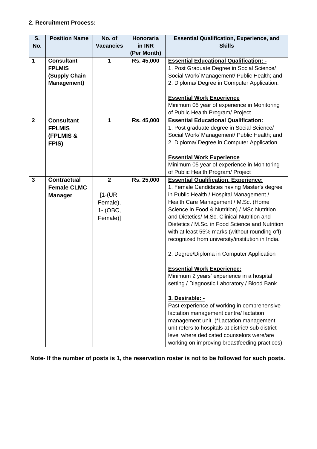#### **2. Recruitment Process:**

| 1. Post Graduate Degree in Social Science/                                                                                      |
|---------------------------------------------------------------------------------------------------------------------------------|
| Social Work/ Management/ Public Health; and                                                                                     |
| 2. Diploma/ Degree in Computer Application.                                                                                     |
|                                                                                                                                 |
|                                                                                                                                 |
| Minimum 05 year of experience in Monitoring                                                                                     |
|                                                                                                                                 |
|                                                                                                                                 |
| 1. Post graduate degree in Social Science/                                                                                      |
| Social Work/ Management/ Public Health; and                                                                                     |
| 2. Diploma/ Degree in Computer Application.                                                                                     |
|                                                                                                                                 |
|                                                                                                                                 |
| Minimum 05 year of experience in Monitoring                                                                                     |
|                                                                                                                                 |
|                                                                                                                                 |
| 1. Female Candidates having Master's degree                                                                                     |
|                                                                                                                                 |
|                                                                                                                                 |
| Science in Food & Nutrition) / MSc Nutrition                                                                                    |
|                                                                                                                                 |
| Dietetics / M.Sc. in Food Science and Nutrition                                                                                 |
| with at least 55% marks (without rounding off)                                                                                  |
| recognized from university/institution in India.                                                                                |
|                                                                                                                                 |
| 2. Degree/Diploma in Computer Application                                                                                       |
|                                                                                                                                 |
| Minimum 2 years' experience in a hospital                                                                                       |
| setting / Diagnostic Laboratory / Blood Bank                                                                                    |
|                                                                                                                                 |
|                                                                                                                                 |
| Past experience of working in comprehensive                                                                                     |
|                                                                                                                                 |
| management unit. (*Lactation management                                                                                         |
| unit refers to hospitals at district/ sub district                                                                              |
| level where dedicated counselors were/are                                                                                       |
| working on improving breastfeeding practices)                                                                                   |
| in Public Health / Hospital Management /<br>Health Care Management / M.Sc. (Home<br>and Dietetics/ M.Sc. Clinical Nutrition and |

**Note- If the number of posts is 1, the reservation roster is not to be followed for such posts.**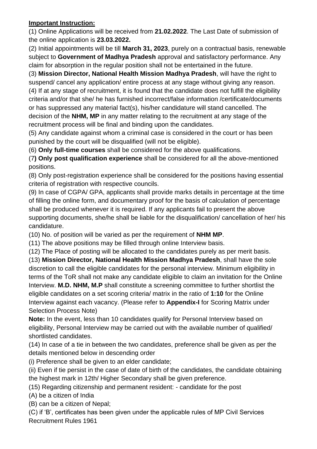#### **Important Instruction:**

(1) Online Applications will be received from **21.02.2022**. The Last Date of submission of the online application is **23.03.2022.**

(2) Initial appointments will be till **March 31, 2023**, purely on a contractual basis, renewable subject to **Government of Madhya Pradesh** approval and satisfactory performance. Any claim for absorption in the regular position shall not be entertained in the future.

(3) **Mission Director, National Health Mission Madhya Pradesh**, will have the right to suspend/ cancel any application/ entire process at any stage without giving any reason. (4) If at any stage of recruitment, it is found that the candidate does not fulfill the eligibility criteria and/or that she/ he has furnished incorrect/false information /certificate/documents or has suppressed any material fact(s), his/her candidature will stand cancelled. The decision of the **NHM, MP** in any matter relating to the recruitment at any stage of the recruitment process will be final and binding upon the candidates.

(5) Any candidate against whom a criminal case is considered in the court or has been punished by the court will be disqualified (will not be eligible).

(6) **Only full-time courses** shall be considered for the above qualifications.

(7**) Only post qualification experience** shall be considered for all the above-mentioned positions.

(8) Only post-registration experience shall be considered for the positions having essential criteria of registration with respective councils.

(9) In case of CGPA/ GPA, applicants shall provide marks details in percentage at the time of filling the online form, and documentary proof for the basis of calculation of percentage shall be produced whenever it is required. If any applicants fail to present the above supporting documents, she/he shall be liable for the disqualification/ cancellation of her/ his candidature.

(10) No. of position will be varied as per the requirement of **NHM MP**.

(11) The above positions may be filled through online Interview basis.

(12) The Place of posting will be allocated to the candidates purely as per merit basis.

(13) **Mission Director, National Health Mission Madhya Pradesh**, shall have the sole discretion to call the eligible candidates for the personal interview. Minimum eligibility in terms of the ToR shall not make any candidate eligible to claim an invitation for the Online Interview. **M.D. NHM, M.P** shall constitute a screening committee to further shortlist the eligible candidates on a set scoring criteria/ matrix in the ratio of **1:10** for the Online Interview against each vacancy. (Please refer to **Appendix-I** for Scoring Matrix under Selection Process Note)

**Note:** In the event, less than 10 candidates qualify for Personal Interview based on eligibility, Personal Interview may be carried out with the available number of qualified/ shortlisted candidates.

(14) In case of a tie in between the two candidates, preference shall be given as per the details mentioned below in descending order

(i) Preference shall be given to an elder candidate;

(ii) Even if tie persist in the case of date of birth of the candidates, the candidate obtaining the highest mark in 12th/ Higher Secondary shall be given preference.

(15) Regarding citizenship and permanent resident: - candidate for the post

(A) be a citizen of India

(B) can be a citizen of Nepal;

(C) if 'B', certificates has been given under the applicable rules of MP Civil Services Recruitment Rules 1961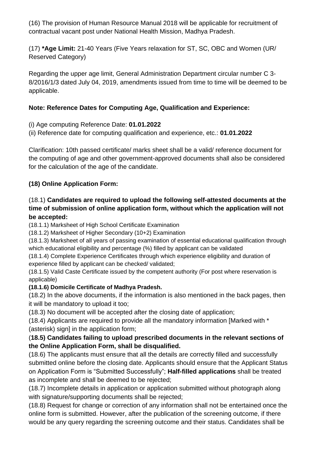(16) The provision of Human Resource Manual 2018 will be applicable for recruitment of contractual vacant post under National Health Mission, Madhya Pradesh.

(17) **\*Age Limit:** 21-40 Years (Five Years relaxation for ST, SC, OBC and Women (UR/ Reserved Category)

Regarding the upper age limit, General Administration Department circular number C 3- 8/2016/1/3 dated July 04, 2019, amendments issued from time to time will be deemed to be applicable.

## **Note: Reference Dates for Computing Age, Qualification and Experience:**

- (i) Age computing Reference Date: **01.01.2022**
- (ii) Reference date for computing qualification and experience, etc.: **01.01.2022**

Clarification: 10th passed certificate/ marks sheet shall be a valid/ reference document for the computing of age and other government-approved documents shall also be considered for the calculation of the age of the candidate.

# **(18) Online Application Form:**

## (18.1) **Candidates are required to upload the following self-attested documents at the time of submission of online application form, without which the application will not be accepted:**

(18.1.1) Marksheet of High School Certificate Examination

(18.1.2) Marksheet of Higher Secondary (10+2) Examination

(18.1.3) Marksheet of all years of passing examination of essential educational qualification through which educational eligibility and percentage (%) filled by applicant can be validated

(18.1.4) Complete Experience Certificates through which experience eligibility and duration of experience filled by applicant can be checked/ validated;

(18.1.5) Valid Caste Certificate issued by the competent authority (For post where reservation is applicable)

## **(18.1.6) Domicile Certificate of Madhya Pradesh.**

(18.2) In the above documents, if the information is also mentioned in the back pages, then it will be mandatory to upload it too;

(18.3) No document will be accepted after the closing date of application;

(18.4) Applicants are required to provide all the mandatory information [Marked with \* (asterisk) sign] in the application form;

## (**18.5) Candidates failing to upload prescribed documents in the relevant sections of the Online Application Form, shall be disqualified.**

(18.6) The applicants must ensure that all the details are correctly filled and successfully submitted online before the closing date. Applicants should ensure that the Applicant Status on Application Form is "Submitted Successfully"; **Half-filled applications** shall be treated as incomplete and shall be deemed to be rejected;

(18.7) Incomplete details in application or application submitted without photograph along with signature/supporting documents shall be rejected;

(18.8) Request for change or correction of any information shall not be entertained once the online form is submitted. However, after the publication of the screening outcome, if there would be any query regarding the screening outcome and their status. Candidates shall be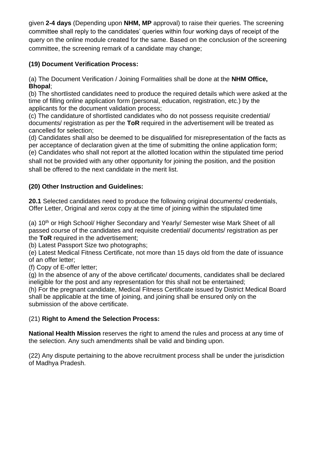given **2-4 days** (Depending upon **NHM, MP** approval) to raise their queries. The screening committee shall reply to the candidates' queries within four working days of receipt of the query on the online module created for the same. Based on the conclusion of the screening committee, the screening remark of a candidate may change;

# **(19) Document Verification Process:**

(a) The Document Verification / Joining Formalities shall be done at the **NHM Office, Bhopal**;

(b) The shortlisted candidates need to produce the required details which were asked at the time of filling online application form (personal, education, registration, etc.) by the applicants for the document validation process;

(c) The candidature of shortlisted candidates who do not possess requisite credential/ documents/ registration as per the **ToR** required in the advertisement will be treated as cancelled for selection;

(d) Candidates shall also be deemed to be disqualified for misrepresentation of the facts as per acceptance of declaration given at the time of submitting the online application form; (e) Candidates who shall not report at the allotted location within the stipulated time period shall not be provided with any other opportunity for joining the position, and the position shall be offered to the next candidate in the merit list.

# **(20) Other Instruction and Guidelines:**

**20.1** Selected candidates need to produce the following original documents/ credentials, Offer Letter, Original and xerox copy at the time of joining within the stipulated time

(a) 10<sup>th</sup> or High School/ Higher Secondary and Yearly/ Semester wise Mark Sheet of all passed course of the candidates and requisite credential/ documents/ registration as per the **ToR** required in the advertisement;

(b) Latest Passport Size two photographs;

(e) Latest Medical Fitness Certificate, not more than 15 days old from the date of issuance of an offer letter;

(f) Copy of E-offer letter;

(g) In the absence of any of the above certificate/ documents, candidates shall be declared ineligible for the post and any representation for this shall not be entertained;

(h) For the pregnant candidate, Medical Fitness Certificate issued by District Medical Board shall be applicable at the time of joining, and joining shall be ensured only on the submission of the above certificate.

## (21) **Right to Amend the Selection Process:**

**National Health Mission** reserves the right to amend the rules and process at any time of the selection. Any such amendments shall be valid and binding upon.

(22) Any dispute pertaining to the above recruitment process shall be under the jurisdiction of Madhya Pradesh.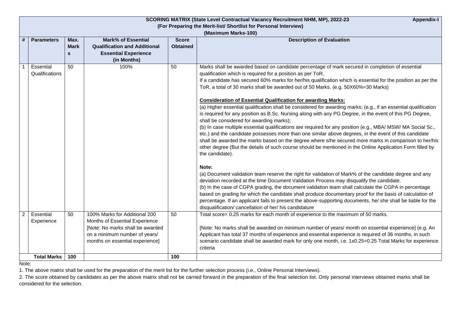|                     | <b>SCORING MATRIX (State Level Contractual Vacancy Recruitment NHM, MP), 2022-23</b><br><b>Appendix-I</b> |             |                                     |                 |                                                                                                                 |  |  |  |
|---------------------|-----------------------------------------------------------------------------------------------------------|-------------|-------------------------------------|-----------------|-----------------------------------------------------------------------------------------------------------------|--|--|--|
|                     | (For Preparing the Merit-list/ Shortlist for Personal Interview)                                          |             |                                     |                 |                                                                                                                 |  |  |  |
| (Maximum Marks-100) |                                                                                                           |             |                                     |                 |                                                                                                                 |  |  |  |
| #                   | <b>Parameters</b>                                                                                         | Max.        | <b>Mark% of Essential</b>           | <b>Score</b>    | <b>Description of Evaluation</b>                                                                                |  |  |  |
|                     |                                                                                                           | <b>Mark</b> | <b>Qualification and Additional</b> | <b>Obtained</b> |                                                                                                                 |  |  |  |
|                     |                                                                                                           | <b>S</b>    | <b>Essential Experience</b>         |                 |                                                                                                                 |  |  |  |
|                     |                                                                                                           |             | (in Months)                         |                 |                                                                                                                 |  |  |  |
|                     | Essential                                                                                                 | 50          | 100%                                | 50              | Marks shall be awarded based on candidate percentage of mark secured in completion of essential                 |  |  |  |
|                     | Qualifications                                                                                            |             |                                     |                 | qualification which is required for a position as per ToR.                                                      |  |  |  |
|                     |                                                                                                           |             |                                     |                 | If a candidate has secured 60% marks for her/his qualification which is essential for the position as per the   |  |  |  |
|                     |                                                                                                           |             |                                     |                 | ToR, a total of 30 marks shall be awarded out of 50 Marks. (e.g. 50X60%=30 Marks)                               |  |  |  |
|                     |                                                                                                           |             |                                     |                 | <b>Consideration of Essential Qualification for awarding Marks:</b>                                             |  |  |  |
|                     |                                                                                                           |             |                                     |                 | (a) Higher essential qualification shall be considered for awarding marks; (e.g., if an essential qualification |  |  |  |
|                     |                                                                                                           |             |                                     |                 | is required for any position as B.Sc. Nursing along with any PG Degree, in the event of this PG Degree,         |  |  |  |
|                     |                                                                                                           |             |                                     |                 | shall be considered for awarding marks);                                                                        |  |  |  |
|                     |                                                                                                           |             |                                     |                 | (b) In case multiple essential qualifications are required for any position (e.g., MBA/ MSW/ MA Social Sc.,     |  |  |  |
|                     |                                                                                                           |             |                                     |                 | etc.) and the candidate possesses more than one similar above degrees, in the event of this candidate           |  |  |  |
|                     |                                                                                                           |             |                                     |                 | shall be awarded the marks based on the degree where s/he secured more marks in comparison to her/his           |  |  |  |
|                     |                                                                                                           |             |                                     |                 | other degree (But the details of such course should be mentioned in the Online Application Form filled by       |  |  |  |
|                     |                                                                                                           |             |                                     |                 | the candidate).                                                                                                 |  |  |  |
|                     |                                                                                                           |             |                                     |                 | Note:                                                                                                           |  |  |  |
|                     |                                                                                                           |             |                                     |                 | (a) Document validation team reserve the right for validation of Mark% of the candidate degree and any          |  |  |  |
|                     |                                                                                                           |             |                                     |                 | deviation recorded at the time Document Validation Process may disqualify the candidate.                        |  |  |  |
|                     |                                                                                                           |             |                                     |                 | (b) In the case of CGPA grading, the document validation team shall calculate the CGPA in percentage            |  |  |  |
|                     |                                                                                                           |             |                                     |                 | based on grading for which the candidate shall produce documentary proof for the basis of calculation of        |  |  |  |
|                     |                                                                                                           |             |                                     |                 | percentage. If an applicant fails to present the above-supporting documents, he/ she shall be liable for the    |  |  |  |
|                     |                                                                                                           |             |                                     |                 | disqualification/ cancellation of her/ his candidature                                                          |  |  |  |
| $\overline{2}$      | Essential                                                                                                 | 50          | 100% Marks for Additional 200       | 50              | Total score= 0.25 marks for each month of experience to the maximum of 50 marks.                                |  |  |  |
|                     | Experience                                                                                                |             | Months of Essential Experience      |                 |                                                                                                                 |  |  |  |
|                     |                                                                                                           |             | [Note: No marks shall be awarded    |                 | [Note: No marks shall be awarded on minimum number of years/ month on essential experience] (e.g. An            |  |  |  |
|                     |                                                                                                           |             | on a minimum number of years/       |                 | Applicant has total 37 months of experience and essential experience is required of 36 months, in such          |  |  |  |
|                     |                                                                                                           |             | months on essential experience]     |                 | scenario candidate shall be awarded mark for only one month, i.e. 1x0.25=0.25 Total Marks for experience        |  |  |  |
|                     |                                                                                                           |             |                                     |                 | criteria                                                                                                        |  |  |  |
|                     | <b>Total Marks</b>                                                                                        | 100         |                                     | 100             |                                                                                                                 |  |  |  |

Note:

1. The above matrix shall be used for the preparation of the merit list for the further selection process (i.e., Online Personal Interviews).

2. The score obtained by candidates as per the above matrix shall not be carried forward in the preparation of the final selection list. Only personal interviews obtained marks shall be considered for the selection.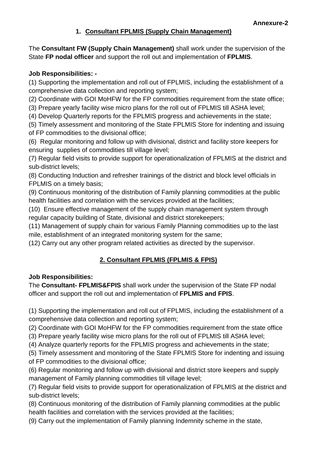## **1. Consultant FPLMIS (Supply Chain Management)**

The **Consultant FW (Supply Chain Management)** shall work under the supervision of the State **FP nodal officer** and support the roll out and implementation of **FPLMIS**.

#### **Job Responsibilities: -**

(1) Supporting the implementation and roll out of FPLMIS, including the establishment of a comprehensive data collection and reporting system;

(2) Coordinate with GOI MoHFW for the FP commodities requirement from the state office;

(3) Prepare yearly facility wise micro plans for the roll out of FPLMIS till ASHA level;

(4) Develop Quarterly reports for the FPLMIS progress and achievements in the state;

(5) Timely assessment and monitoring of the State FPLMIS Store for indenting and issuing of FP commodities to the divisional office;

(6) Regular monitoring and follow up with divisional, district and facility store keepers for ensuring supplies of commodities till village level;

(7) Regular field visits to provide support for operationalization of FPLMIS at the district and sub-district levels;

(8) Conducting Induction and refresher trainings of the district and block level officials in FPLMIS on a timely basis;

(9) Continuous monitoring of the distribution of Family planning commodities at the public health facilities and correlation with the services provided at the facilities;

(10) Ensure effective management of the supply chain management system through regular capacity building of State, divisional and district storekeepers;

(11) Management of supply chain for various Family Planning commodities up to the last mile, establishment of an integrated monitoring system for the same;

(12) Carry out any other program related activities as directed by the supervisor.

## **2. Consultant FPLMIS (FPLMIS & FPIS)**

#### **Job Responsibilities:**

The **Consultant- FPLMIS&FPIS** shall work under the supervision of the State FP nodal officer and support the roll out and implementation of **FPLMIS and FPIS**.

(1) Supporting the implementation and roll out of FPLMIS, including the establishment of a comprehensive data collection and reporting system;

(2) Coordinate with GOI MoHFW for the FP commodities requirement from the state office

(3) Prepare yearly facility wise micro plans for the roll out of FPLMIS till ASHA level;

(4) Analyze quarterly reports for the FPLMIS progress and achievements in the state;

(5) Timely assessment and monitoring of the State FPLMIS Store for indenting and issuing of FP commodities to the divisional office;

(6) Regular monitoring and follow up with divisional and district store keepers and supply management of Family planning commodities till village level;

(7) Regular field visits to provide support for operationalization of FPLMIS at the district and sub-district levels;

(8) Continuous monitoring of the distribution of Family planning commodities at the public health facilities and correlation with the services provided at the facilities;

(9) Carry out the implementation of Family planning Indemnity scheme in the state,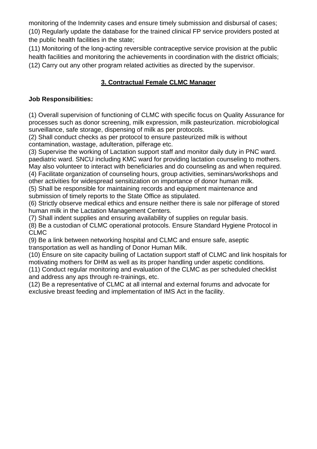monitoring of the Indemnity cases and ensure timely submission and disbursal of cases; (10) Regularly update the database for the trained clinical FP service providers posted at the public health facilities in the state;

(11) Monitoring of the long-acting reversible contraceptive service provision at the public health facilities and monitoring the achievements in coordination with the district officials; (12) Carry out any other program related activities as directed by the supervisor.

# **3. Contractual Female CLMC Manager**

#### **Job Responsibilities:**

(1) Overall supervision of functioning of CLMC with specific focus on Quality Assurance for processes such as donor screening, milk expression, milk pasteurization. microbiological surveillance, safe storage, dispensing of milk as per protocols.

(2) Shall conduct checks as per protocol to ensure pasteurized milk is without contamination, wastage, adulteration, pilferage etc.

(3) Supervise the working of Lactation support staff and monitor daily duty in PNC ward. paediatric ward. SNCU including KMC ward for providing lactation counseling to mothers. May also volunteer to interact with beneficiaries and do counseling as and when required.

(4) Facilitate organization of counseling hours, group activities, seminars/workshops and other activities for widespread sensitization on importance of donor human milk.

(5) Shall be responsible for maintaining records and equipment maintenance and submission of timely reports to the State Office as stipulated.

(6) Strictly observe medical ethics and ensure neither there is sale nor pilferage of stored human milk in the Lactation Management Centers.

(7) Shall indent supplies and ensuring availability of supplies on regular basis.

(8) Be a custodian of CLMC operational protocols. Ensure Standard Hygiene Protocol in CLMC

(9) Be a link between networking hospital and CLMC and ensure safe, aseptic transportation as well as handling of Donor Human Milk.

(10) Ensure on site capacity builing of Lactation support staff of CLMC and link hospitals for motivating mothers for DHM as well as its proper handling under aspetic conditions.

(11) Conduct regular monitoring and evaluation of the CLMC as per scheduled checklist and address any aps through re-trainings, etc.

(12) Be a representative of CLMC at all internal and external forums and advocate for exclusive breast feeding and implementation of IMS Act in the facility.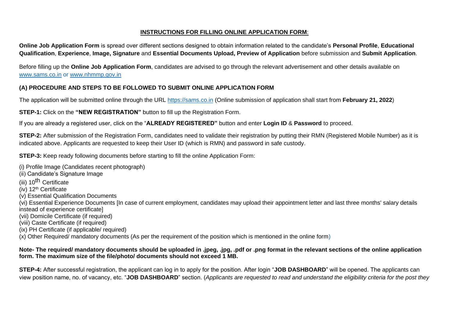#### **INSTRUCTIONS FOR FILLING ONLINE APPLICATION FORM**:

**Online Job Application Form** is spread over different sections designed to obtain information related to the candidate's **Personal Profile**, **Educational Qualification**, **Experience**, **Image, Signature** and **Essential Documents Upload, Preview of Application** before submission and **Submit Application**.

Before filling up the **Online Job Application Form**, candidates are advised to go through the relevant advertisement and other details available on [www.sams.co.in](http://www.sams.co.in/) or www.nhmmp.gov.in

#### **(A) PROCEDURE AND STEPS TO BE FOLLOWED TO SUBMIT ONLINE APPLICATION FORM**

The application will be submitted online through the URL [https://sams.co.in](https://sams.co.in/) (Online submission of application shall start from **February 21, 2022**)

**STEP-1:** Click on the "NEW REGISTRATION" button to fill up the Registration Form.

If you are already a registered user, click on the "**ALREADY REGISTERED"** button and enter **Login ID** & **Password** to proceed.

**STEP-2:** After submission of the Registration Form, candidates need to validate their registration by putting their RMN (Registered Mobile Number) as it is indicated above. Applicants are requested to keep their User ID (which is RMN) and password in safe custody.

**STEP-3:** Keep ready following documents before starting to fill the online Application Form:

- (i) Profile Image (Candidates recent photograph)
- (ii) Candidate's Signature Image
- (iii) 10<sup>th</sup> Certificate
- (iv)  $12<sup>th</sup>$  Certificate
- (v) Essential Qualification Documents
- (vi) Essential Experience Documents [In case of current employment, candidates may upload their appointment letter and last three months' salary details instead of experience certificate]
- (vii) Domicile Certificate (if required)
- (viii) Caste Certificate (if required)
- (ix) PH Certificate (if applicable/ required)

 $(x)$  Other Required/ mandatory documents (As per the requirement of the position which is mentioned in the online form)

#### **Note- The required/ mandatory documents should be uploaded in .jpeg, .jpg, .pdf or .png format in the relevant sections of the online application form. The maximum size of the file/photo/ documents should not exceed 1 MB.**

**STEP-4:** After successful registration, the applicant can log in to apply for the position. After login "**JOB DASHBOARD**" will be opened. The applicants can view position name, no. of vacancy, etc. "**JOB DASHBOARD**" section. (*Applicants are requested to read and understand the eligibility criteria for the post they*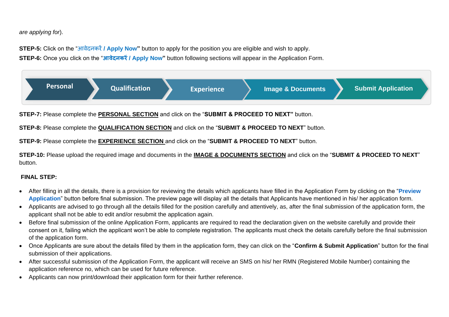*are applying for*).

**STEP-5:** Click on the "आवेदनकरें**/ Apply Now"** button to apply for the position you are eligible and wish to apply. **STEP-6:** Once you click on the "**आवेदनकरें/ Apply Now"** button following sections will appear in the Application Form.



**STEP-7:** Please complete the **PERSONAL SECTION** and click on the "**SUBMIT & PROCEED TO NEXT"** button.

**STEP-8:** Please complete the **QUALIFICATION SECTION** and click on the "**SUBMIT & PROCEED TO NEXT**" button.

**STEP-9:** Please complete the **EXPERIENCE SECTION** and click on the "**SUBMIT & PROCEED TO NEXT**" button.

**STEP-10:** Please upload the required image and documents in the **IMAGE & DOCUMENTS SECTION** and click on the "**SUBMIT & PROCEED TO NEXT**" button.

#### **FINAL STEP:**

- After filling in all the details, there is a provision for reviewing the details which applicants have filled in the Application Form by clicking on the "**Preview Application**" button before final submission. The preview page will display all the details that Applicants have mentioned in his/ her application form.
- Applicants are advised to go through all the details filled for the position carefully and attentively, as, after the final submission of the application form, the applicant shall not be able to edit and/or resubmit the application again.
- Before final submission of the online Application Form, applicants are required to read the declaration given on the website carefully and provide their consent on it, failing which the applicant won't be able to complete registration. The applicants must check the details carefully before the final submission of the application form.
- Once Applicants are sure about the details filled by them in the application form, they can click on the "**Confirm & Submit Application**" button for the final submission of their applications.
- After successful submission of the Application Form, the applicant will receive an SMS on his/ her RMN (Registered Mobile Number) containing the application reference no, which can be used for future reference.
- Applicants can now print/download their application form for their further reference.